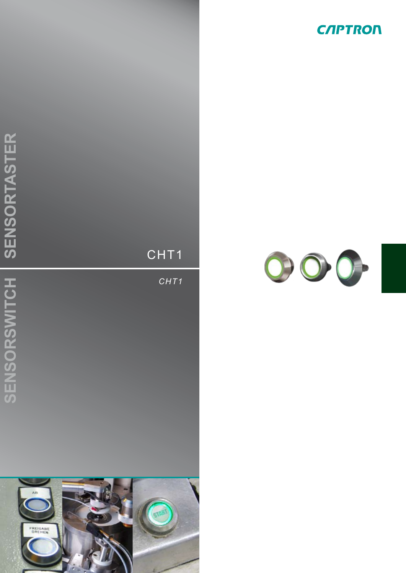



*CHT1*



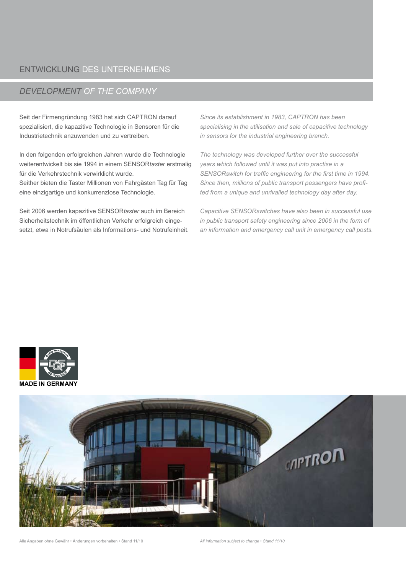# entwicklung des Unternehmens

# *development of the company*

Seit der Firmengründung 1983 hat sich CAPTRON darauf spezialisiert, die kapazitive Technologie in Sensoren für die Industrietechnik anzuwenden und zu vertreiben.

In den folgenden erfolgreichen Jahren wurde die Technologie weiterentwickelt bis sie 1994 in einem SENSOR*taster* erstmalig für die Verkehrstechnik verwirklicht wurde.

Seither bieten die Taster Millionen von Fahrgästen Tag für Tag eine einzigartige und konkurrenzlose Technologie.

Seit 2006 werden kapazitive SENSOR*taster* auch im Bereich Sicherheitstechnik im öffentlichen Verkehr erfolgreich eingesetzt, etwa in Notrufsäulen als Informations- und Notrufeinheit.

*Since its establishment in 1983, CAPTRON has been specialising in the utilisation and sale of capacitive technology in sensors for the industrial engineering branch.* 

*The technology was developed further over the successful years which followed until it was put into practise in a SENSORswitch for traffic engineering for the first time in 1994. Since then, millions of public transport passengers have profited from a unique and unrivalled technology day after day.*

*Capacitive SENSORswitches have also been in successful use in public transport safety engineering since 2006 in the form of an information and emergency call unit in emergency call posts.*





Alle Angaben ohne Gewähr • Änderungen vorbehalten • Stand 11/10 *All information subject to change • Stand 11/10*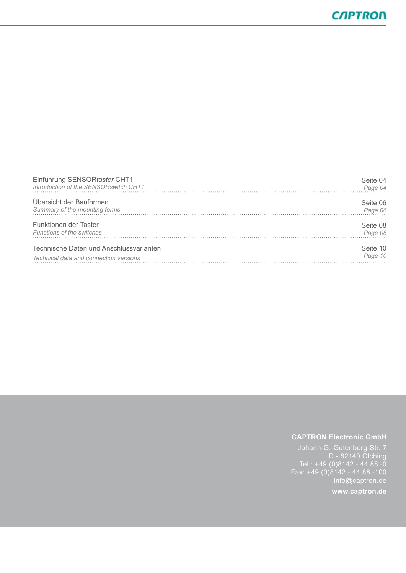| Einführung SENSORtaster CHT1            | Seite 04 |
|-----------------------------------------|----------|
| Introduction of the SENSORswitch CHT1   | Page 04  |
| Übersicht der Bauformen                 | Seite 06 |
| Summary of the mounting forms           | Page 06  |
| Funktionen der Taster                   | Seite 08 |
| <b>Functions of the switches</b>        | Page 08  |
| Technische Daten und Anschlussvarianten | Seite 10 |
| Technical data and connection versions  | Page 10  |

#### **CAPTRON Electronic GmbH**

D - 82140 Olching Tel.: +49 (0)8142 - 44 88 -0 Fax: +49 (0)8142 - 44 88 -100 info@captron.de

**www.captron.de**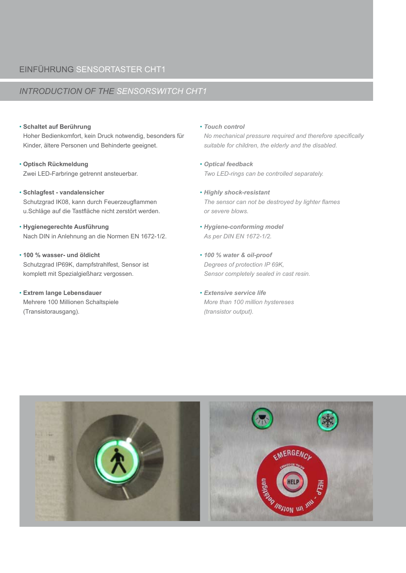# *introduction of the sensorswitch cht1*

#### • **Schaltet auf Berührung**

Hoher Bedienkomfort, kein Druck notwendig, besonders für Kinder, ältere Personen und Behinderte geeignet.

- **Optisch Rückmeldung** Zwei LED-Farbringe getrennt ansteuerbar.
- **Schlagfest vandalensicher** Schutzgrad IK08, kann durch Feuerzeugflammen u.Schläge auf die Tastfläche nicht zerstört werden.
- • **Hygienegerechte Ausführung** Nach DIN in Anlehnung an die Normen EN 1672-1/2.
- **100 % wasser- und öldicht** Schutzgrad IP69K, dampfstrahlfest, Sensor ist komplett mit Spezialgießharz vergossen.
- **Extrem lange Lebensdauer** Mehrere 100 Millionen Schaltspiele (Transistorausgang).

• *Touch control*

*No mechanical pressure required and therefore specifically suitable for children, the elderly and the disabled.*

- *Optical feedback Two LED-rings can be controlled separately.*
- *Highly shock-resistant The sensor can not be destroyed by lighter flames or severe blows.*
- *Hygiene-conforming model As per DIN EN 1672-1/2.*
- *100 % water & oil-proof Degrees of protection IP 69K, Sensor completely sealed in cast resin.*
- *Extensive service life More than 100 million hystereses (transistor output).*

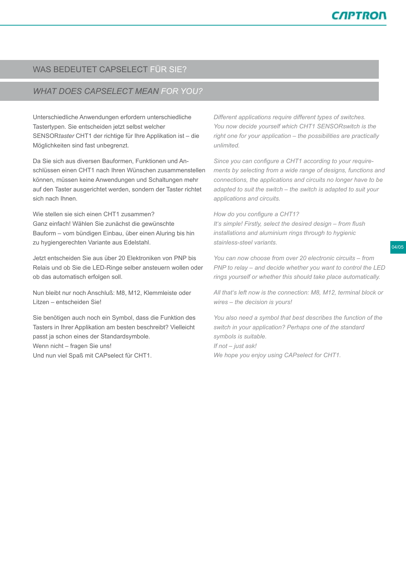# was bedeutet capselect für sie?

# *What does CAPselect mean for you?*

Unterschiedliche Anwendungen erfordern unterschiedliche Tastertypen. Sie entscheiden jetzt selbst welcher SENSOR*taster* CHT1 der richtige für Ihre Applikation ist – die Möglichkeiten sind fast unbegrenzt.

Da Sie sich aus diversen Bauformen, Funktionen und Anschlüssen einen CHT1 nach Ihren Wünschen zusammenstellen können, müssen keine Anwendungen und Schaltungen mehr auf den Taster ausgerichtet werden, sondern der Taster richtet sich nach Ihnen.

Wie stellen sie sich einen CHT1 zusammen? Ganz einfach! Wählen Sie zunächst die gewünschte Bauform – vom bündigen Einbau, über einen Aluring bis hin zu hygiengerechten Variante aus Edelstahl.

Jetzt entscheiden Sie aus über 20 Elektroniken von PNP bis Relais und ob Sie die LED-Ringe selber ansteuern wollen oder ob das automatisch erfolgen soll.

Nun bleibt nur noch Anschluß: M8, M12, Klemmleiste oder Litzen – entscheiden Sie!

Sie benötigen auch noch ein Symbol, dass die Funktion des Tasters in Ihrer Applikation am besten beschreibt? Vielleicht passt ja schon eines der Standardsymbole. Wenn nicht – fragen Sie uns! Und nun viel Spaß mit CAPselect für CHT1.

*Different applications require different types of switches. You now decide yourself which CHT1 SENSORswitch is the right one for your application – the possibilities are practically unlimited.*

*Since you can configure a CHT1 according to your requirements by selecting from a wide range of designs, functions and connections, the applications and circuits no longer have to be adapted to suit the switch – the switch is adapted to suit your applications and circuits.*

#### *How do you configure a CHT1?*

*It's simple! Firstly, select the desired design – from flush installations and aluminium rings through to hygienic stainless-steel variants.*

04/05

*You can now choose from over 20 electronic circuits – from PNP to relay – and decide whether you want to control the LED rings yourself or whether this should take place automatically.*

*All that's left now is the connection: M8, M12, terminal block or wires – the decision is yours!*

*You also need a symbol that best describes the function of the switch in your application? Perhaps one of the standard symbols is suitable. If not – just ask! We hope you enjoy using CAPselect for CHT1.*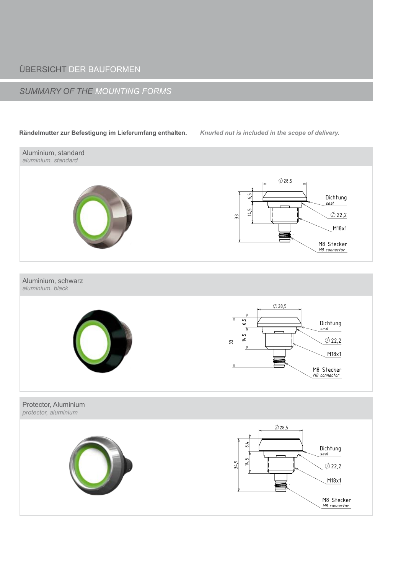# **ÜBERSICHT DER BAUFORMEN**

# **SUMMARY OF THE MOUNTING FORMS**

#### Rändelmutter zur Befestigung im Lieferumfang enthalten.

Knurled nut is included in the scope of delivery.

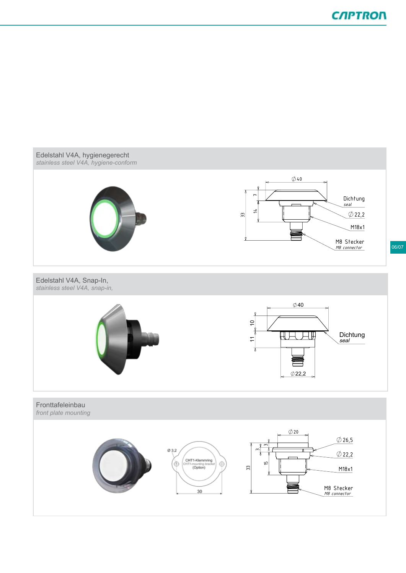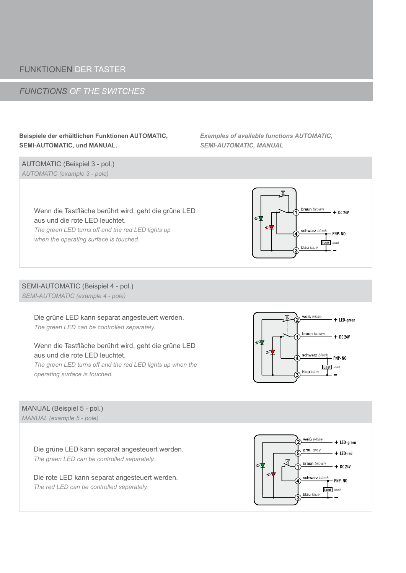# funktionen der taster

# *functions of the switches*

### **Beispiele der erhältlichen Funktionen AUTOMATIC, SEMI-AUTOMATIC, und MANUAL.**

AUTOMATIC (Beispiel 3 - pol.) *automatic (example 3 - pole)*

*Examples of available functions AUTOMATIC, SEMI-AUTOMATIC, MANUAL*



*The green LED turns off and the red LED lights up when the operating surface is touched.*



#### SEMI-AUTOMATIC (Beispiel 4 - pol.) *Semi-Automatic (example 4 - pole)*

Die grüne LED kann separat angesteuert werden. *The green LED can be controlled separately.*

# Wenn die Tastfläche berührt wird, geht die grüne LED aus und die rote LED leuchtet.

*The green LED turns off and the red LED lights up when the operating surface is touched.*



#### ManuAl (Beispiel 5 - pol.) *manual (example 5 - pole)*

Die grüne LED kann separat angesteuert werden. *The green LED can be controlled separately.*

Die rote LED kann separat angesteuert werden. *The red LED can be controlled separately.*

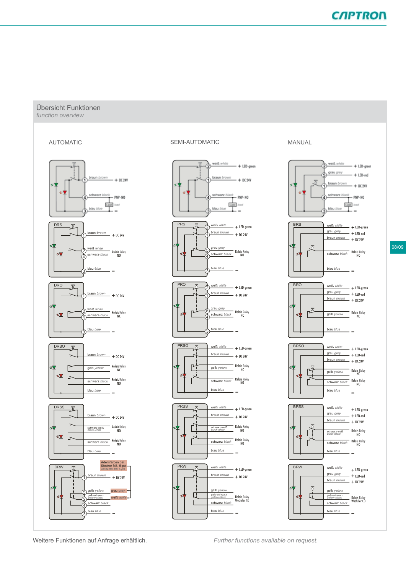#### Übersicht Funktionen *function overview*



Aufpreis + € 12,- (auf d-P-B-Version)

Aufpreis + € 17,- (auf d-P-B-Version)



#### AUTOMATIC SEMI-AUTOMATIC MANUAL  $B = \frac{1}{2}$



#### **MANUAL**



LED-green

**Theorytheraun brown brown brown brown**<br> **1** Further functions available on request.

 $\frac{1}{2}$ + Further functions available on requ Further functions available on request.

+

LED-green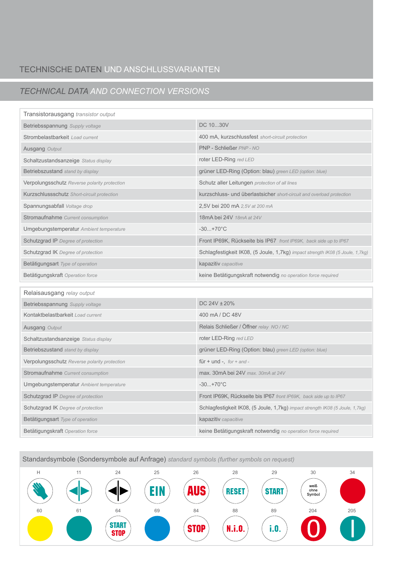# technische daten und anschlussvarianten

# *technical data and connection versions*

| Transistorausgang transistor output          |                                                                               |
|----------------------------------------------|-------------------------------------------------------------------------------|
| Betriebsspannung Supply voltage              | DC 1030V                                                                      |
| Strombelastbarkeit Load current              | 400 mA, kurzschlussfest short-circuit protection                              |
| Ausgang Output                               | PNP - Schließer PNP - NO                                                      |
| Schaltzustandsanzeige Status display         | roter LED-Ring red LED                                                        |
| Betriebszustand stand by display             | grüner LED-Ring (Option: blau) green LED (option: blue)                       |
| Verpolungsschutz Reverse polarity protection | Schutz aller Leitungen protection of all lines                                |
| Kurzschlussschutz Short-circuit protection   | kurzschluss- und überlastsicher short-circuit and overload protection         |
| Spannungsabfall Voltage drop                 | 2,5V bei 200 mA 2,5V at 200 mA                                                |
| Stromaufnahme Current consumption            | 18mA bei 24V 18mA at 24V                                                      |
| Umgebungstemperatur Ambient temperature      | $-30+70^{\circ}C$                                                             |
| Schutzgrad IP Degree of protection           | Front IP69K, Rückseite bis IP67 front IP69K, back side up to IP67             |
| Schutzgrad IK Degree of protection           | Schlagfestigkeit IK08, (5 Joule, 1,7kg) impact strength IK08 (5 Joule, 1,7kg) |
| Betätigungsart Type of operation             | kapazitiv capacitive                                                          |
|                                              |                                                                               |
| Betätigungskraft Operation force             | keine Betätigungskraft notwendig no operation force required                  |
| Relaisausgang relay output                   |                                                                               |
| Betriebsspannung Supply voltage              | DC 24V ± 20%                                                                  |
| Kontaktbelastbarkeit Load current            | 400 mA/DC 48V                                                                 |
| Ausgang Output                               | Relais Schließer / Öffner relay NO/NC                                         |
| Schaltzustandsanzeige Status display         | roter LED-Ring red LED                                                        |
| Betriebszustand stand by display             | grüner LED-Ring (Option: blau) green LED (option: blue)                       |
| Verpolungsschutz Reverse polarity protection | für + und -, $for + and -$                                                    |
| Stromaufnahme Current consumption            | max. 30mA bei 24V max. 30mA at 24V                                            |
| Umgebungstemperatur Ambient temperature      | $-30+70^{\circ}C$                                                             |
| Schutzgrad IP Degree of protection           | Front IP69K, Rückseite bis IP67 front IP69K, back side up to IP67             |
| Schutzgrad IK Degree of protection           | Schlagfestigkeit IK08, (5 Joule, 1,7kg) impact strength IK08 (5 Joule, 1,7kg) |
| Betätigungsart Type of operation             | kapazitiv capacitive                                                          |

Standardsymbole (Sondersymbole auf Anfrage) *standard symbols (further symbols on request)*

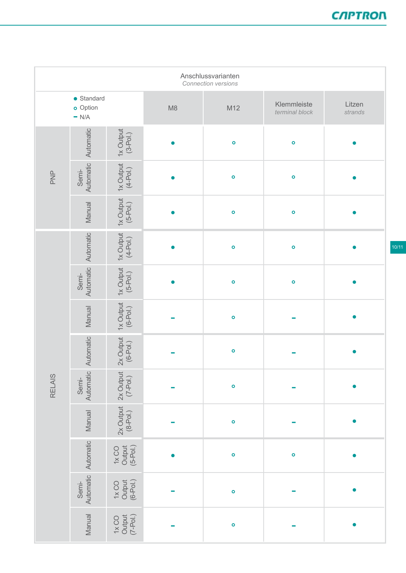| Anschlussvarianten<br>Connection versions |                                           |                                                                                                                                                                                                                                                                                                                                                                                                                              |    |              |                               |                   |  |
|-------------------------------------------|-------------------------------------------|------------------------------------------------------------------------------------------------------------------------------------------------------------------------------------------------------------------------------------------------------------------------------------------------------------------------------------------------------------------------------------------------------------------------------|----|--------------|-------------------------------|-------------------|--|
|                                           | $\bullet$ Standard<br>o Option<br>$= N/A$ |                                                                                                                                                                                                                                                                                                                                                                                                                              | M8 | M12          | Klemmleiste<br>terminal block | Litzen<br>strands |  |
| PNP                                       | Automatic                                 | $1x$ Output<br>$(3-Pol.)$                                                                                                                                                                                                                                                                                                                                                                                                    |    | $\bullet$    | $\bullet$                     |                   |  |
|                                           | Automatic<br>Semi-                        | $1x$ Output<br>$(4-Pol.)$                                                                                                                                                                                                                                                                                                                                                                                                    |    | $\mathsf{o}$ | $\circ$                       |                   |  |
|                                           | Manual                                    | $1x$ Output<br>$(5-Pol.)$                                                                                                                                                                                                                                                                                                                                                                                                    |    | $\mathsf{o}$ | $\bullet$                     |                   |  |
| <b>RELAIS</b>                             | Automatic                                 | $1x$ Output<br>$(4-P01)$                                                                                                                                                                                                                                                                                                                                                                                                     |    | $\mathsf{o}$ | $\bullet$                     |                   |  |
|                                           | Automatic<br>Semi-                        | $1x$ Output<br>$(5-P01.)$                                                                                                                                                                                                                                                                                                                                                                                                    |    | $\bullet$    | $\bullet$                     |                   |  |
|                                           | Manual                                    | $1x$ Output<br>$(6-Pol.)$                                                                                                                                                                                                                                                                                                                                                                                                    |    | $\mathsf{o}$ |                               |                   |  |
|                                           | Automatic                                 | $2x$ Output<br>(6-Pol.)                                                                                                                                                                                                                                                                                                                                                                                                      |    | $\bullet$    |                               |                   |  |
|                                           | Automatic<br>Semi-                        | 2x Output<br>$(7-Pol.)$                                                                                                                                                                                                                                                                                                                                                                                                      |    | $\circ$      |                               |                   |  |
|                                           | Manual                                    | $2x$ Output<br>$(8-P01)$                                                                                                                                                                                                                                                                                                                                                                                                     |    | $\bullet$    |                               |                   |  |
|                                           | Automatic                                 | $\begin{array}{c} \text{1x CO} \\ \text{Output} \\ \text{(5-Pol.)} \end{array}$                                                                                                                                                                                                                                                                                                                                              |    | $\circ$      | $\bullet$                     |                   |  |
|                                           | Automatic<br>Semi-                        | Output<br>(6-Pol.)<br>1xCO                                                                                                                                                                                                                                                                                                                                                                                                   |    | $\circ$      |                               |                   |  |
|                                           | Manual                                    | $\begin{array}{c} \textbf{1} \textbf{1} \textbf{1} \textbf{1} \\ \textbf{1} \textbf{1} \textbf{1} \textbf{1} \\ \textbf{1} \textbf{1} \textbf{1} \textbf{1} \textbf{1} \textbf{1} \\ \textbf{1} \textbf{1} \textbf{1} \textbf{1} \textbf{1} \textbf{1} \textbf{1} \textbf{1} \textbf{1} \textbf{1} \textbf{1} \textbf{1} \textbf{1} \textbf{1} \textbf{1} \textbf{1} \textbf{1} \textbf{1} \textbf{1} \textbf{1} \textbf{1}$ |    | $\bullet$    |                               |                   |  |